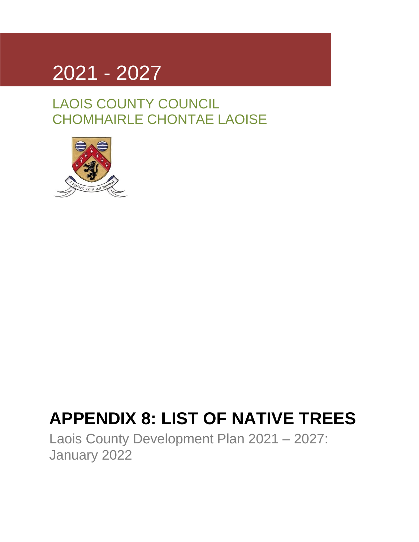

LAOIS COUNTY COUNCIL CHOMHAIRLE CHONTAE LAOISE



## **APPENDIX 8: LIST OF NATIVE TREES**

Laois County Development Plan 2021 – 2027: January 2022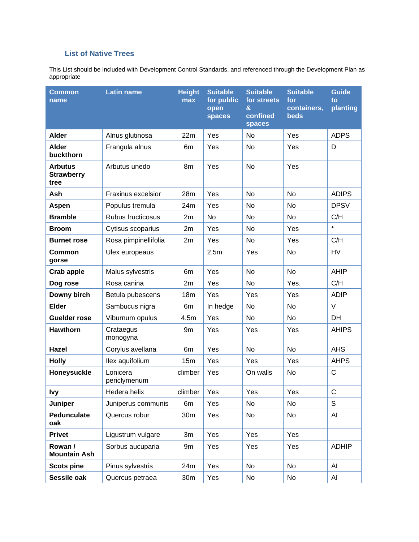## **List of Native Trees**

This List should be included with Development Control Standards, and referenced through the Development Plan as appropriate

| <b>Common</b><br>name                       | <b>Latin name</b>        | <b>Height</b><br>max | <b>Suitable</b><br>for public<br>open<br><b>spaces</b> | <b>Suitable</b><br>for streets<br>&<br>confined<br>spaces | <b>Suitable</b><br>for<br>containers,<br><b>beds</b> | <b>Guide</b><br>to<br>planting |
|---------------------------------------------|--------------------------|----------------------|--------------------------------------------------------|-----------------------------------------------------------|------------------------------------------------------|--------------------------------|
| <b>Alder</b>                                | Alnus glutinosa          | 22m                  | Yes                                                    | No                                                        | Yes                                                  | <b>ADPS</b>                    |
| <b>Alder</b><br>buckthorn                   | Frangula alnus           | 6m                   | Yes                                                    | No                                                        | Yes                                                  | D                              |
| <b>Arbutus</b><br><b>Strawberry</b><br>tree | Arbutus unedo            | 8m                   | Yes                                                    | <b>No</b>                                                 | Yes                                                  |                                |
| Ash                                         | Fraxinus excelsior       | 28m                  | Yes                                                    | No                                                        | No                                                   | <b>ADIPS</b>                   |
| <b>Aspen</b>                                | Populus tremula          | 24m                  | Yes                                                    | No                                                        | No                                                   | <b>DPSV</b>                    |
| <b>Bramble</b>                              | Rubus fructicosus        | 2m                   | No                                                     | No                                                        | <b>No</b>                                            | C/H                            |
| <b>Broom</b>                                | Cytisus scoparius        | 2m                   | Yes                                                    | No                                                        | Yes                                                  | $\star$                        |
| <b>Burnet rose</b>                          | Rosa pimpinellifolia     | 2m                   | Yes                                                    | No                                                        | Yes                                                  | C/H                            |
| Common<br>gorse                             | Ulex europeaus           |                      | 2.5m                                                   | Yes                                                       | No                                                   | <b>HV</b>                      |
| <b>Crab apple</b>                           | Malus sylvestris         | 6m                   | Yes                                                    | No                                                        | No                                                   | <b>AHIP</b>                    |
| Dog rose                                    | Rosa canina              | 2m                   | Yes                                                    | No.                                                       | Yes.                                                 | C/H                            |
| Downy birch                                 | Betula pubescens         | 18 <sub>m</sub>      | Yes                                                    | Yes                                                       | Yes                                                  | <b>ADIP</b>                    |
| <b>Elder</b>                                | Sambucus nigra           | 6m                   | In hedge                                               | No                                                        | No                                                   | V                              |
| <b>Guelder rose</b>                         | Viburnum opulus          | 4.5m                 | Yes                                                    | No                                                        | No                                                   | DH                             |
| <b>Hawthorn</b>                             | Crataegus<br>monogyna    | 9m                   | Yes                                                    | Yes                                                       | Yes                                                  | <b>AHIPS</b>                   |
| <b>Hazel</b>                                | Corylus avellana         | 6m                   | Yes                                                    | <b>No</b>                                                 | <b>No</b>                                            | <b>AHS</b>                     |
| <b>Holly</b>                                | llex aquifolium          | 15m                  | Yes                                                    | Yes                                                       | Yes                                                  | <b>AHPS</b>                    |
| Honeysuckle                                 | Lonicera<br>periclymenum | climber              | Yes                                                    | On walls                                                  | No                                                   | $\mathsf{C}$                   |
| <b>Ivy</b>                                  | Hedera helix             | climber   Yes        |                                                        | Yes                                                       | Yes                                                  | C                              |
| Juniper                                     | Juniperus communis       | 6m                   | Yes                                                    | No                                                        | No                                                   | S                              |
| Pedunculate<br>oak                          | Quercus robur            | 30m                  | Yes                                                    | No                                                        | No                                                   | AI                             |
| <b>Privet</b>                               | Ligustrum vulgare        | 3m                   | Yes                                                    | Yes                                                       | Yes                                                  |                                |
| Rowan /<br><b>Mountain Ash</b>              | Sorbus aucuparia         | 9m                   | Yes                                                    | Yes                                                       | Yes                                                  | <b>ADHIP</b>                   |
| <b>Scots pine</b>                           | Pinus sylvestris         | 24m                  | Yes                                                    | No                                                        | No                                                   | AI                             |
| Sessile oak                                 | Quercus petraea          | 30 <sub>m</sub>      | Yes                                                    | No                                                        | No                                                   | Al                             |